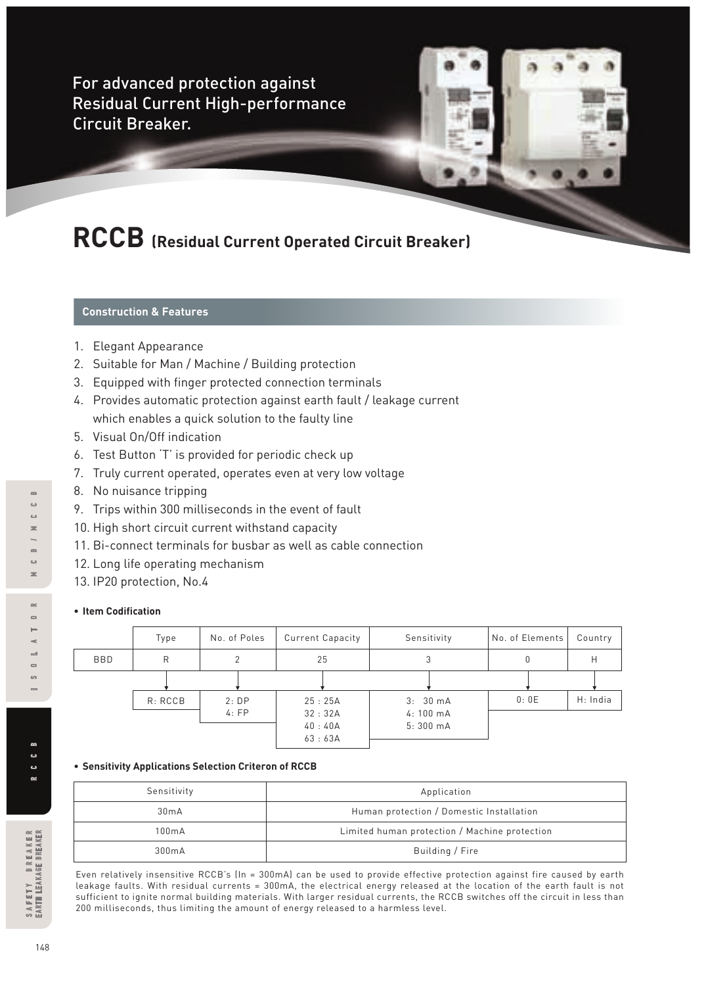For advanced protection against Residual Current High-performance Circuit Breaker.

# **RCCB (Residual Current Operated Circuit Breaker)**

# **Construction & Features**

- 1. Elegant Appearance
- 2. Suitable for Man / Machine / Building protection
- 3. Equipped with finger protected connection terminals
- 4. Provides automatic protection against earth fault / leakage current which enables a quick solution to the faulty line
- 5. Visual On/Off indication
- 6. Test Button 'T' is provided for periodic check up
- 7. Truly current operated, operates even at very low voltage
- 8. No nuisance tripping
- 9. Trips within 300 milliseconds in the event of fault
- 10. High short circuit current withstand capacity
- 11. Bi-connect terminals for busbar as well as cable connection
- 12. Long life operating mechanism
- 13. IP20 protection, No.4

#### **• Item Codification**

|     | Type    | No. of Poles | <b>Current Capacity</b> | Sensitivity                   | No. of Elements | Country  |
|-----|---------|--------------|-------------------------|-------------------------------|-----------------|----------|
| BBD | R       |              | 25                      | 3                             | 0               | Н        |
|     |         |              |                         |                               |                 |          |
|     | R: RCCB | 2:DP         | 25:25A                  | 3:30mA                        | 0:0E            | H: India |
|     |         | 4:FP         | 32:32A<br>40:40A        | $4:100 \text{ mA}$<br>5:300mA |                 |          |
|     |         |              | 63:63A                  |                               |                 |          |

#### **• Sensitivity Applications Selection Criteron of RCCB**

| Sensitivity | Application                                   |
|-------------|-----------------------------------------------|
| 30mA        | Human protection / Domestic Installation      |
| 100mA       | Limited human protection / Machine protection |
| 300mA       | Building / Fire                               |

Even relatively insensitive RCCB's (In = 300mA) can be used to provide effective protection against fire caused by earth leakage faults. With residual currents = 300mA, the electrical energy released at the location of the earth fault is not sufficient to ignite normal building materials. With larger residual currents, the RCCB switches off the circuit in less than 200 milliseconds, thus limiting the amount of energy released to a harmless level.

 $\approx$